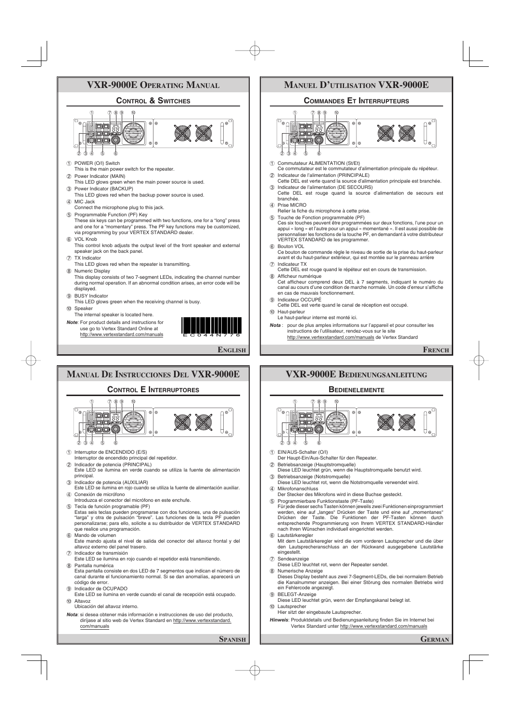## **VXR-9000E OPERATING MANUAL**

#### **CONTROL & SWITCHES**



- 1 POWER (O/I) Switch
- This is the main power switch for the repeater.
- 2 Power Indicator (MAIN) This LED glows green when the main power source is used. 3 Power Indicator (BACKUP)
- This LED glows red when the backup power source is used.
- 4 MIC Jack
- Connect the microphone plug to this jack. 5 Programmable Function (PF) Key
- These six keys can be programmed with two functions, one for a "long" press and one for a "momentary" press. The PF key functions may be customized, via programming by your VERTEX STANDARD dealer.
- 6 VOL Knob
- This control knob adjusts the output level of the front speaker and external speaker jack on the back panel.
- 7 TX Indicator
- This LED glows red when the repeater is transmitting. 8 Numeric Display
- This display consists of two 7-segment LEDs, indicating the channel number during normal operation. If an abnormal condition arises, an error code will be displayed.
- 9 BUSY Indicator
- This LED glows green when the receiving channel is busy.
- 0 Speaker The internal speaker is located here.
- *Note*: For product details and instructions for use go to Vertex Standard Online at http://www.vertexstandard.com/manuals



**ENGLISH**



### **MANUEL D'UTILISATION VXR-9000E**

#### **COMMANDES ET INTERRUPTEURS**



- 1 Commutateur ALIMENTATION (St/Et)
- Ce commutateur est le commutateur d'alimentation principale du répéteur. Indicateur de l'alimentation (PRINCIPALE)
- Cette DEL est verte quand la source d'alimentation principale est branchée. 3 Indicateur de l'alimentation (DE SECOURS)
- Cette DEL est rouge quand la source d'alimentation de secours est branchée.
- Prise MICRO
	- Relier la fiche du microphone à cette prise.
- 5 Touche de Fonction programmable (PF)
	- Ces six touches peuvent être programmées sur deux fonctions, l'une pour un appui « long » et l'autre pour un appui « momentané ». Il est aussi possible de personnaliser les fonctions de la touche PF, en demandant à votre distributeur VERTEX STANDARD de les programmer.
- 6 Bouton VOL

 Ce bouton de commande règle le niveau de sortie de la prise du haut-parleur avant et du haut-parleur extérieur, qui est montée sur le panneau arrière 7 Indicateur TX

- 
- Cette DEL est rouge quand le répéteur est en cours de transmission. 8 Afficheur numérique
- Cet afficheur comprend deux DEL à 7 segments, indiquant le numéro du canal au cours d'une condition de marche normale. Un code d'erreur s'affiche en cas de mauvais fonctionnement.
- 9 Indicateur OCCUPÉ
- Cette DEL est verte quand le canal de réception est occupé. 0 Haut-parleur
- Le haut-parleur interne est monté ici.
- *Nota* : pour de plus amples informations sur l'appareil et pour consulter les instructions de l'utilisateur, rendez-vous sur le site http://www.vertexstandard.com/manuals de Vertex Standard

**FRENCH**

# **VXR-9000E BEDIENUNGSANLEITUNG BEDIENELEMENTE** 1 789 0

- 234 5 6
- 1 EIN/AUS-Schalter (O/I)
- Der Haupt-Ein/Aus-Schalter für den Repeater.
- 2 Betriebsanzeige (Hauptstromquelle)
- Diese LED leuchtet grün, wenn die Hauptstromquelle benutzt wird. 3 Betriebsanzeige (Notstromquelle)
- Diese LED leuchtet rot, wenn die Notstromquelle verwendet wird. 4 Mikrofonanschluss
- Der Stecker des Mikrofons wird in diese Buchse gesteckt.
- 5 Programmierbare Funktionstaste (PF-Taste) Für jede dieser sechs Tasten können jeweils zwei Funktionen einprogrammiert werden, eine auf "langes" Drücken der Taste und eine auf "momentanes" Drücken der Taste. Die Funktionen der PF-Tasten können durch entsprechende Programmierung von Ihrem VERTEX STANDARD-Händler nach Ihren Wünschen individuell eingerichtet werden. 6 Lautstärkeregler
- Mit dem Lautstärkeregler wird die vom vorderen Lautsprecher und die über den Lautsprecheranschluss an der Rückwand ausgegebene Lautstärke eingestellt.
- 7 Sendeanzeige
- Diese LED leuchtet rot, wenn der Repeater sendet.
- 8 Numerische Anzeige
- Dieses Display besteht aus zwei 7-Segment-LEDs, die bei normalem Betrieb die Kanalnummer anzeigen. Bei einer Störung des normalen Betriebs wird ein Fehlercode angezeigt.
- 9 BELEGT-Anzeige
- Diese LED leuchtet grün, wenn der Empfangskanal belegt ist.
- 0 Lautsprecher
- Hier sitzt der eingebaute Lautsprecher.
- *Hinweis*: Produktdetails und Bedienungsanleitung finden Sie im Internet bei Vertex Standard unter http://www.vertexstandard.com/manuals